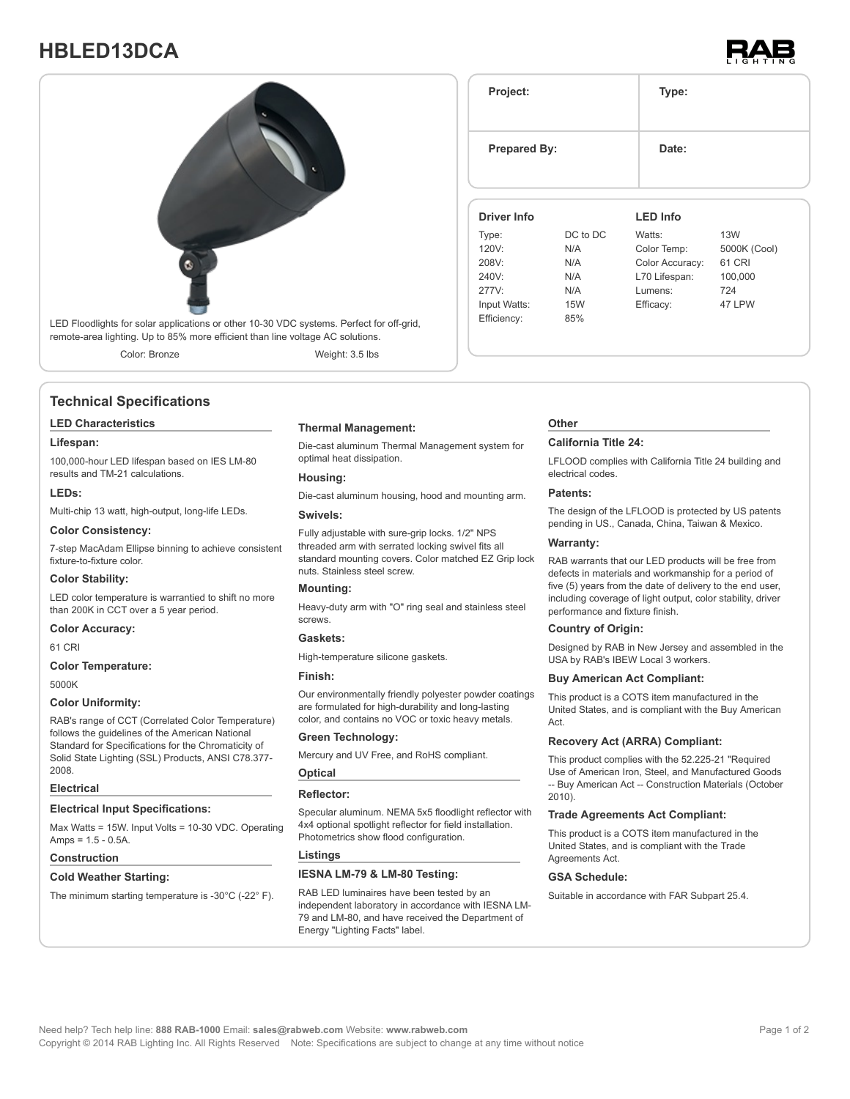# **HBLED13DCA**





### **Technical Specifications**

### **LED Characteristics**

### **Lifespan:**

100,000-hour LED lifespan based on IES LM-80 results and TM-21 calculations.

### **LEDs:**

Multi-chip 13 watt, high-output, long-life LEDs.

### **Color Consistency:**

7-step MacAdam Ellipse binning to achieve consistent fixture-to-fixture color.

### **Color Stability:**

LED color temperature is warrantied to shift no more than 200K in CCT over a 5 year period.

### **Color Accuracy:**

61 CRI

### **Color Temperature:**

5000K

### **Color Uniformity:**

RAB's range of CCT (Correlated Color Temperature) follows the guidelines of the American National Standard for Specifications for the Chromaticity of Solid State Lighting (SSL) Products, ANSI C78.377- 2008.

### **Electrical**

### **Electrical Input Specifications:**

Max Watts = 15W. Input Volts = 10-30 VDC. Operating Amps =  $1.5 - 0.5A$ .

### **Construction**

### **Cold Weather Starting:**

The minimum starting temperature is -30°C (-22° F).

### **Thermal Management:**

Die-cast aluminum Thermal Management system for optimal heat dissipation.

### **Housing:**

Die-cast aluminum housing, hood and mounting arm.

### **Swivels:**

Fully adjustable with sure-grip locks. 1/2" NPS threaded arm with serrated locking swivel fits all standard mounting covers. Color matched EZ Grip lock nuts. Stainless steel screw.

### **Mounting:**

Heavy-duty arm with "O" ring seal and stainless steel screws.

### **Gaskets:**

High-temperature silicone gaskets.

## **Finish:**

Our environmentally friendly polyester powder coatings are formulated for high-durability and long-lasting color, and contains no VOC or toxic heavy metals.

### **Green Technology:**

Mercury and UV Free, and RoHS compliant.

### **Optical Reflector:**

Specular aluminum. NEMA 5x5 floodlight reflector with 4x4 optional spotlight reflector for field installation. Photometrics show flood configuration.

### **Listings**

### **IESNA LM-79 & LM-80 Testing:**

RAB LED luminaires have been tested by an independent laboratory in accordance with IESNA LM-79 and LM-80, and have received the Department of Energy "Lighting Facts" label.

## **Other**

### **California Title 24:**

**Project: Type:**

**Prepared By:** Date:

**Driver Info**

Type: DC to DC 120V: N/A 208V: N/A 240V: N/A 277V: N/A Input Watts: 15W Efficiency: 85%

> LFLOOD complies with California Title 24 building and electrical codes.

**LED Info**

Watts: 13W Color Temp: 5000K (Cool) Color Accuracy: 61 CRI L70 Lifespan: 100,000 Lumens: 724 Efficacy: 47 LPW

### **Patents:**

The design of the LFLOOD is protected by US patents pending in US., Canada, China, Taiwan & Mexico.

### **Warranty:**

RAB warrants that our LED products will be free from defects in materials and workmanship for a period of five (5) years from the date of delivery to the end user, including coverage of light output, color stability, driver performance and fixture finish.

### **Country of Origin:**

Designed by RAB in New Jersey and assembled in the USA by RAB's IBEW Local 3 workers.

### **Buy American Act Compliant:**

This product is a COTS item manufactured in the United States, and is compliant with the Buy American Act.

### **Recovery Act (ARRA) Compliant:**

This product complies with the 52.225-21 "Required Use of American Iron, Steel, and Manufactured Goods -- Buy American Act -- Construction Materials (October 2010).

### **Trade Agreements Act Compliant:**

This product is a COTS item manufactured in the United States, and is compliant with the Trade Agreements Act.

### **GSA Schedule:**

Suitable in accordance with FAR Subpart 25.4.